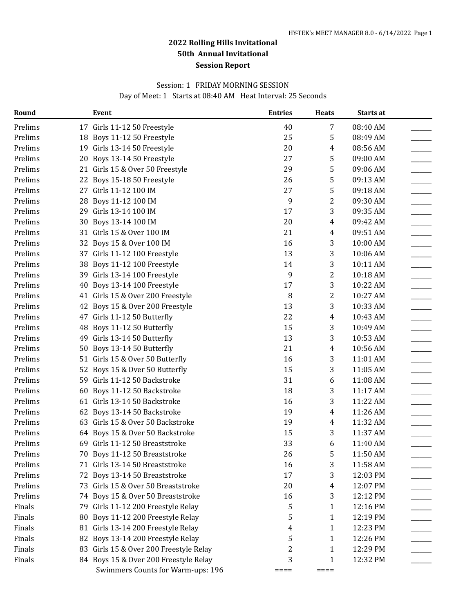#### Session: 1 FRIDAY MORNING SESSION

Day of Meet: 1 Starts at 08:40 AM Heat Interval: 25 Seconds

| Round   |    | Event                                  | <b>Entries</b> | <b>Heats</b> | Starts at |  |
|---------|----|----------------------------------------|----------------|--------------|-----------|--|
| Prelims |    | 17 Girls 11-12 50 Freestyle            | 40             | 7            | 08:40 AM  |  |
| Prelims |    | 18 Boys 11-12 50 Freestyle             | 25             | 5            | 08:49 AM  |  |
| Prelims |    | 19 Girls 13-14 50 Freestyle            | 20             | 4            | 08:56 AM  |  |
| Prelims |    | 20 Boys 13-14 50 Freestyle             | 27             | 5            | 09:00 AM  |  |
| Prelims |    | 21 Girls 15 & Over 50 Freestyle        | 29             | 5            | 09:06 AM  |  |
| Prelims |    | 22 Boys 15-18 50 Freestyle             | 26             | 5            | 09:13 AM  |  |
| Prelims |    | 27 Girls 11-12 100 IM                  | 27             | 5            | 09:18 AM  |  |
| Prelims | 28 | Boys 11-12 100 IM                      | 9              | 2            | 09:30 AM  |  |
| Prelims |    | 29 Girls 13-14 100 IM                  | 17             | 3            | 09:35 AM  |  |
| Prelims | 30 | Boys 13-14 100 IM                      | 20             | 4            | 09:42 AM  |  |
| Prelims |    | 31 Girls 15 & Over 100 IM              | 21             | 4            | 09:51 AM  |  |
| Prelims |    | 32 Boys 15 & Over 100 IM               | 16             | 3            | 10:00 AM  |  |
| Prelims |    | 37 Girls 11-12 100 Freestyle           | 13             | 3            | 10:06 AM  |  |
| Prelims |    | 38 Boys 11-12 100 Freestyle            | 14             | 3            | 10:11 AM  |  |
| Prelims |    | 39 Girls 13-14 100 Freestyle           | 9              | 2            | 10:18 AM  |  |
| Prelims |    | 40 Boys 13-14 100 Freestyle            | 17             | 3            | 10:22 AM  |  |
| Prelims |    | 41 Girls 15 & Over 200 Freestyle       | 8              | 2            | 10:27 AM  |  |
| Prelims |    | 42 Boys 15 & Over 200 Freestyle        | 13             | 3            | 10:33 AM  |  |
| Prelims |    | 47 Girls 11-12 50 Butterfly            | 22             | 4            | 10:43 AM  |  |
| Prelims |    | 48 Boys 11-12 50 Butterfly             | 15             | 3            | 10:49 AM  |  |
| Prelims |    | 49 Girls 13-14 50 Butterfly            | 13             | 3            | 10:53 AM  |  |
| Prelims |    | 50 Boys 13-14 50 Butterfly             | 21             | 4            | 10:56 AM  |  |
| Prelims |    | 51 Girls 15 & Over 50 Butterfly        | 16             | 3            | 11:01 AM  |  |
| Prelims |    | 52 Boys 15 & Over 50 Butterfly         | 15             | 3            | 11:05 AM  |  |
| Prelims |    | 59 Girls 11-12 50 Backstroke           | 31             | 6            | 11:08 AM  |  |
| Prelims |    | 60 Boys 11-12 50 Backstroke            | 18             | 3            | 11:17 AM  |  |
| Prelims |    | 61 Girls 13-14 50 Backstroke           | 16             | 3            | 11:22 AM  |  |
| Prelims |    | 62 Boys 13-14 50 Backstroke            | 19             | 4            | 11:26 AM  |  |
| Prelims |    | 63 Girls 15 & Over 50 Backstroke       | 19             | 4            | 11:32 AM  |  |
| Prelims |    | 64 Boys 15 & Over 50 Backstroke        | 15             | 3            | 11:37 AM  |  |
| Prelims |    | 69 Girls 11-12 50 Breaststroke         | 33             | 6            | 11:40 AM  |  |
| Prelims |    | 70 Boys 11-12 50 Breaststroke          | 26             | 5            | 11:50 AM  |  |
| Prelims |    | 71 Girls 13-14 50 Breaststroke         | 16             | 3            | 11:58 AM  |  |
| Prelims |    | 72 Boys 13-14 50 Breaststroke          | 17             | 3            | 12:03 PM  |  |
| Prelims |    | 73 Girls 15 & Over 50 Breaststroke     | 20             | 4            | 12:07 PM  |  |
| Prelims |    | 74 Boys 15 & Over 50 Breaststroke      | 16             | 3            | 12:12 PM  |  |
| Finals  |    | 79 Girls 11-12 200 Freestyle Relay     | 5              | 1            | 12:16 PM  |  |
| Finals  |    | 80 Boys 11-12 200 Freestyle Relay      | 5              | 1            | 12:19 PM  |  |
| Finals  |    | 81 Girls 13-14 200 Freestyle Relay     | 4              | 1            | 12:23 PM  |  |
| Finals  |    | 82 Boys 13-14 200 Freestyle Relay      | 5              | 1            | 12:26 PM  |  |
| Finals  |    | 83 Girls 15 & Over 200 Freestyle Relay | 2              | 1            | 12:29 PM  |  |
| Finals  |    | 84 Boys 15 & Over 200 Freestyle Relay  | 3              | 1            | 12:32 PM  |  |
|         |    | Swimmers Counts for Warm-ups: 196      | ====           | $====$       |           |  |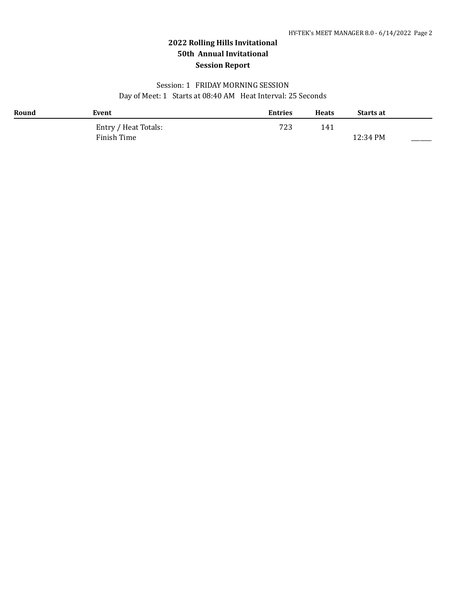### Session: 1 FRIDAY MORNING SESSION Day of Meet: 1 Starts at 08:40 AM Heat Interval: 25 Seconds

| Round | Event                | <b>Entries</b> | <b>Heats</b> | <b>Starts at</b> |  |
|-------|----------------------|----------------|--------------|------------------|--|
|       | Entry / Heat Totals: | 723            | 141          |                  |  |
|       | Finish Time          |                |              | 12:34 PM         |  |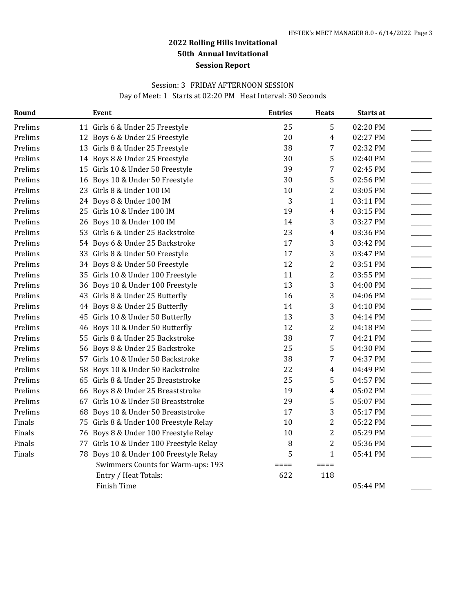### Session: 3 FRIDAY AFTERNOON SESSION

Day of Meet: 1 Starts at 02:20 PM Heat Interval: 30 Seconds

| Round   | Event                                   | <b>Entries</b> | <b>Heats</b>     | Starts at |  |
|---------|-----------------------------------------|----------------|------------------|-----------|--|
| Prelims | 11 Girls 6 & Under 25 Freestyle         | 25             | 5                | 02:20 PM  |  |
| Prelims | 12 Boys 6 & Under 25 Freestyle          | 20             | $\overline{4}$   | 02:27 PM  |  |
| Prelims | 13 Girls 8 & Under 25 Freestyle         | 38             | 7                | 02:32 PM  |  |
| Prelims | 14 Boys 8 & Under 25 Freestyle          | 30             | 5                | 02:40 PM  |  |
| Prelims | 15 Girls 10 & Under 50 Freestyle        | 39             | 7                | 02:45 PM  |  |
| Prelims | 16 Boys 10 & Under 50 Freestyle         | 30             | 5                | 02:56 PM  |  |
| Prelims | 23 Girls 8 & Under 100 IM               | 10             | $\boldsymbol{2}$ | 03:05 PM  |  |
| Prelims | 24 Boys 8 & Under 100 IM                | 3              | $\mathbf{1}$     | 03:11 PM  |  |
| Prelims | 25 Girls 10 & Under 100 IM              | 19             | $\overline{4}$   | 03:15 PM  |  |
| Prelims | 26 Boys 10 & Under 100 IM               | 14             | 3                | 03:27 PM  |  |
| Prelims | 53 Girls 6 & Under 25 Backstroke        | 23             | $\overline{4}$   | 03:36 PM  |  |
| Prelims | 54 Boys 6 & Under 25 Backstroke         | 17             | 3                | 03:42 PM  |  |
| Prelims | 33 Girls 8 & Under 50 Freestyle         | 17             | 3                | 03:47 PM  |  |
| Prelims | 34 Boys 8 & Under 50 Freestyle          | 12             | $\boldsymbol{2}$ | 03:51 PM  |  |
| Prelims | 35 Girls 10 & Under 100 Freestyle       | 11             | $\overline{2}$   | 03:55 PM  |  |
| Prelims | 36 Boys 10 & Under 100 Freestyle        | 13             | 3                | 04:00 PM  |  |
| Prelims | 43 Girls 8 & Under 25 Butterfly         | 16             | 3                | 04:06 PM  |  |
| Prelims | 44 Boys 8 & Under 25 Butterfly          | 14             | 3                | 04:10 PM  |  |
| Prelims | 45 Girls 10 & Under 50 Butterfly        | 13             | 3                | 04:14 PM  |  |
| Prelims | 46 Boys 10 & Under 50 Butterfly         | 12             | $\overline{2}$   | 04:18 PM  |  |
| Prelims | 55 Girls 8 & Under 25 Backstroke        | 38             | 7                | 04:21 PM  |  |
| Prelims | 56 Boys 8 & Under 25 Backstroke         | 25             | 5                | 04:30 PM  |  |
| Prelims | 57 Girls 10 & Under 50 Backstroke       | 38             | 7                | 04:37 PM  |  |
| Prelims | 58 Boys 10 & Under 50 Backstroke        | 22             | $\overline{4}$   | 04:49 PM  |  |
| Prelims | 65 Girls 8 & Under 25 Breaststroke      | 25             | 5                | 04:57 PM  |  |
| Prelims | 66 Boys 8 & Under 25 Breaststroke       | 19             | $\overline{4}$   | 05:02 PM  |  |
| Prelims | 67 Girls 10 & Under 50 Breaststroke     | 29             | 5                | 05:07 PM  |  |
| Prelims | 68 Boys 10 & Under 50 Breaststroke      | 17             | 3                | 05:17 PM  |  |
| Finals  | 75 Girls 8 & Under 100 Freestyle Relay  | 10             | $\overline{c}$   | 05:22 PM  |  |
| Finals  | 76 Boys 8 & Under 100 Freestyle Relay   | 10             | $\overline{c}$   | 05:29 PM  |  |
| Finals  | 77 Girls 10 & Under 100 Freestyle Relay | 8              | $\overline{2}$   | 05:36 PM  |  |
| Finals  | 78 Boys 10 & Under 100 Freestyle Relay  | 5              | $\mathbf{1}$     | 05:41 PM  |  |
|         | Swimmers Counts for Warm-ups: 193       | $====$         | $====$           |           |  |
|         | Entry / Heat Totals:                    | 622            | 118              |           |  |
|         | Finish Time                             |                |                  | 05:44 PM  |  |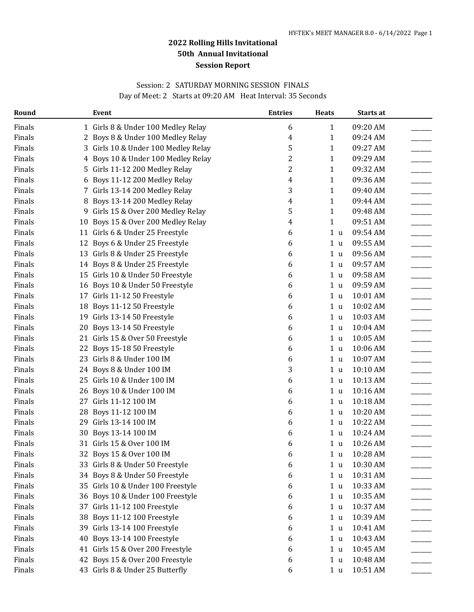### Session: 2 SATURDAY MORNING SESSION FINALS Day of Meet: 2 Starts at 09:20 AM Heat Interval: 35 Seconds

| Round  |    | <b>Event</b>                       | <b>Entries</b> | <b>Heats</b>   | Starts at |  |
|--------|----|------------------------------------|----------------|----------------|-----------|--|
| Finals |    | 1 Girls 8 & Under 100 Medley Relay | 6              | $\mathbf{1}$   | 09:20 AM  |  |
| Finals | 2  | Boys 8 & Under 100 Medley Relay    | 4              | $\mathbf{1}$   | 09:24 AM  |  |
| Finals | 3  | Girls 10 & Under 100 Medley Relay  | 5              | 1              | 09:27 AM  |  |
| Finals | 4  | Boys 10 & Under 100 Medley Relay   | 2              | 1              | 09:29 AM  |  |
| Finals | 5  | Girls 11-12 200 Medley Relay       | 2              | 1              | 09:32 AM  |  |
| Finals | 6  | Boys 11-12 200 Medley Relay        | 4              | $\mathbf{1}$   | 09:36 AM  |  |
| Finals |    | 7 Girls 13-14 200 Medley Relay     | 3              | 1              | 09:40 AM  |  |
| Finals | 8  | Boys 13-14 200 Medley Relay        | 4              | 1              | 09:44 AM  |  |
| Finals | 9  | Girls 15 & Over 200 Medley Relay   | 5              | 1              | 09:48 AM  |  |
| Finals | 10 | Boys 15 & Over 200 Medley Relay    | 4              | 1              | 09:51 AM  |  |
| Finals |    | 11 Girls 6 & Under 25 Freestyle    | 6              | 1 <sub>u</sub> | 09:54 AM  |  |
| Finals |    | 12 Boys 6 & Under 25 Freestyle     | 6              | 1 <sub>u</sub> | 09:55 AM  |  |
| Finals |    | 13 Girls 8 & Under 25 Freestyle    | 6              | 1 <sub>u</sub> | 09:56 AM  |  |
| Finals |    | 14 Boys 8 & Under 25 Freestyle     | 6              | 1 <sub>u</sub> | 09:57 AM  |  |
| Finals |    | 15 Girls 10 & Under 50 Freestyle   | 6              | 1 <sub>u</sub> | 09:58 AM  |  |
| Finals | 16 | Boys 10 & Under 50 Freestyle       | 6              | 1 <sub>u</sub> | 09:59 AM  |  |
| Finals |    | 17 Girls 11-12 50 Freestyle        | 6              | 1 <sub>u</sub> | 10:01 AM  |  |
| Finals | 18 | Boys 11-12 50 Freestyle            | 6              | 1 <sub>u</sub> | 10:02 AM  |  |
| Finals |    | 19 Girls 13-14 50 Freestyle        | 6              | 1 <sub>u</sub> | 10:03 AM  |  |
| Finals | 20 | Boys 13-14 50 Freestyle            | 6              | 1 <sub>u</sub> | 10:04 AM  |  |
| Finals |    | 21 Girls 15 & Over 50 Freestyle    | 6              | 1 u            | 10:05 AM  |  |
| Finals | 22 | Boys 15-18 50 Freestyle            | 6              | 1 <sub>u</sub> | 10:06 AM  |  |
| Finals |    | 23 Girls 8 & Under 100 IM          | 6              | 1 <sub>u</sub> | 10:07 AM  |  |
| Finals |    | 24 Boys 8 & Under 100 IM           | 3              | 1 <sub>u</sub> | 10:10 AM  |  |
| Finals | 25 | Girls 10 & Under 100 IM            | 6              | 1 <sub>u</sub> | 10:13 AM  |  |
| Finals | 26 | Boys 10 & Under 100 IM             | 6              | 1 <sub>u</sub> | 10:16 AM  |  |
| Finals |    | 27 Girls 11-12 100 IM              | 6              | 1 <sub>u</sub> | 10:18 AM  |  |
| Finals | 28 | Boys 11-12 100 IM                  | 6              | 1 <sub>u</sub> | 10:20 AM  |  |
| Finals | 29 | Girls 13-14 100 IM                 | 6              | 1 <sub>u</sub> | 10:22 AM  |  |
| Finals | 30 | Boys 13-14 100 IM                  | 6              | 1 <sub>u</sub> | 10:24 AM  |  |
| Finals |    | 31 Girls 15 & Over 100 IM          | 6              | 1 <sub>u</sub> | 10:26 AM  |  |
| Finals |    | 32 Boys 15 & Over 100 IM           | 6              | 1 <sub>u</sub> | 10:28 AM  |  |
| Finals |    | 33 Girls 8 & Under 50 Freestyle    | 6              | 1 <sub>u</sub> | 10:30 AM  |  |
| Finals |    | 34 Boys 8 & Under 50 Freestyle     | 6              | 1 <sub>u</sub> | 10:31 AM  |  |
| Finals |    | 35 Girls 10 & Under 100 Freestyle  | 6              | 1 <sub>u</sub> | 10:33 AM  |  |
| Finals | 36 | Boys 10 & Under 100 Freestyle      | 6              | 1 <sub>u</sub> | 10:35 AM  |  |
| Finals | 37 | Girls 11-12 100 Freestyle          | 6              | 1 <sub>u</sub> | 10:37 AM  |  |
| Finals | 38 | Boys 11-12 100 Freestyle           | 6              | 1 <sub>u</sub> | 10:39 AM  |  |
| Finals |    | 39 Girls 13-14 100 Freestyle       | 6              | 1 <sub>u</sub> | 10:41 AM  |  |
| Finals | 40 | Boys 13-14 100 Freestyle           | 6              | 1 <sub>u</sub> | 10:43 AM  |  |
| Finals |    | 41 Girls 15 & Over 200 Freestyle   | 6              | 1 <sub>u</sub> | 10:45 AM  |  |
| Finals | 42 | Boys 15 & Over 200 Freestyle       | 6              | 1 <sub>u</sub> | 10:48 AM  |  |
| Finals |    | 43 Girls 8 & Under 25 Butterfly    | 6              | 1 <sub>u</sub> | 10:51 AM  |  |